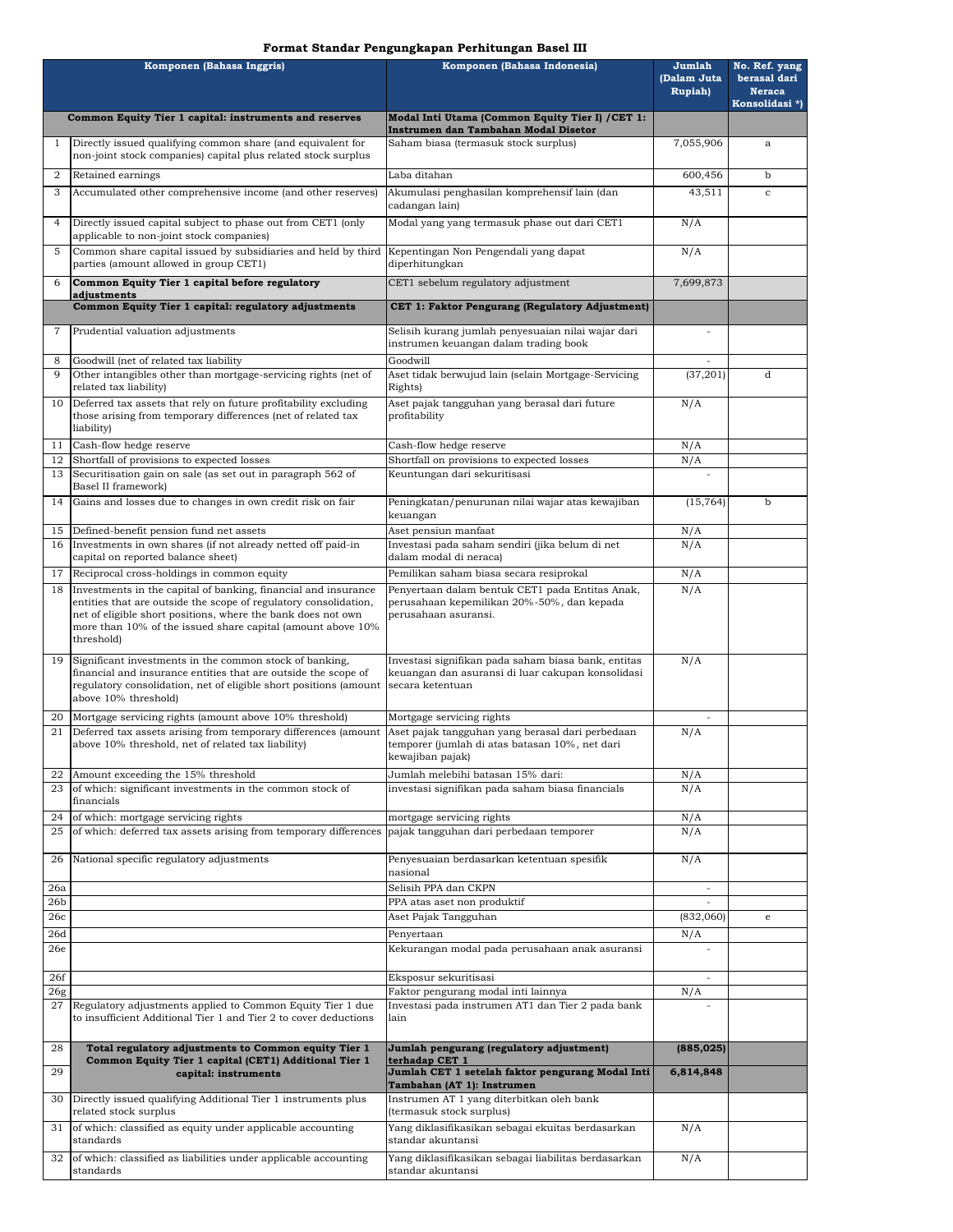### **Format Standar Pengungkapan Perhitungan Basel III**

| Komponen (Bahasa Inggris) |                                                                                                                                                                                                                                                                                 | Komponen (Bahasa Indonesia)                                                                                                  | Jumlah<br>(Dalam Juta<br>Rupiah) | No. Ref. yang<br>berasal dari<br><b>Neraca</b> |
|---------------------------|---------------------------------------------------------------------------------------------------------------------------------------------------------------------------------------------------------------------------------------------------------------------------------|------------------------------------------------------------------------------------------------------------------------------|----------------------------------|------------------------------------------------|
|                           | Common Equity Tier 1 capital: instruments and reserves                                                                                                                                                                                                                          | Modal Inti Utama (Common Equity Tier I) / CET 1:                                                                             |                                  | Konsolidasi *)                                 |
| 1                         | Directly issued qualifying common share (and equivalent for                                                                                                                                                                                                                     | Instrumen dan Tambahan Modal Disetor<br>Saham biasa (termasuk stock surplus)                                                 | 7,055,906                        | $\mathbf{a}$                                   |
|                           | non-joint stock companies) capital plus related stock surplus                                                                                                                                                                                                                   |                                                                                                                              |                                  |                                                |
| $\overline{2}$            | Retained earnings                                                                                                                                                                                                                                                               | Laba ditahan                                                                                                                 | 600,456                          | $\mathbf b$                                    |
| 3                         | Accumulated other comprehensive income (and other reserves)                                                                                                                                                                                                                     | Akumulasi penghasilan komprehensif lain (dan<br>cadangan lain)                                                               | 43,511                           | $\mathbf c$                                    |
| $\overline{4}$            | Directly issued capital subject to phase out from CET1 (only<br>applicable to non-joint stock companies)                                                                                                                                                                        | Modal yang yang termasuk phase out dari CET1                                                                                 | N/A                              |                                                |
| 5                         | Common share capital issued by subsidiaries and held by third<br>parties (amount allowed in group CET1)                                                                                                                                                                         | Kepentingan Non Pengendali yang dapat<br>diperhitungkan                                                                      | N/A                              |                                                |
| 6                         | Common Equity Tier 1 capital before regulatory                                                                                                                                                                                                                                  | CET1 sebelum regulatory adjustment                                                                                           | 7,699,873                        |                                                |
|                           | adjustments<br>Common Equity Tier 1 capital: regulatory adjustments                                                                                                                                                                                                             | CET 1: Faktor Pengurang (Regulatory Adjustment)                                                                              |                                  |                                                |
| 7                         | Prudential valuation adjustments                                                                                                                                                                                                                                                | Selisih kurang jumlah penyesuaian nilai wajar dari                                                                           |                                  |                                                |
|                           |                                                                                                                                                                                                                                                                                 | instrumen keuangan dalam trading book                                                                                        |                                  |                                                |
| 8<br>9                    | Goodwill (net of related tax liability<br>Other intangibles other than mortgage-servicing rights (net of<br>related tax liability)                                                                                                                                              | Goodwill<br>Aset tidak berwujud lain (selain Mortgage-Servicing<br>Rights)                                                   | (37, 201)                        | d                                              |
| 10                        | Deferred tax assets that rely on future profitability excluding<br>those arising from temporary differences (net of related tax<br>liability)                                                                                                                                   | Aset pajak tangguhan yang berasal dari future<br>profitability                                                               | N/A                              |                                                |
| 11                        | Cash-flow hedge reserve                                                                                                                                                                                                                                                         | Cash-flow hedge reserve                                                                                                      | N/A                              |                                                |
| 12                        | Shortfall of provisions to expected losses                                                                                                                                                                                                                                      | Shortfall on provisions to expected losses                                                                                   | N/A                              |                                                |
| 13                        | Securitisation gain on sale (as set out in paragraph 562 of<br>Basel II framework)                                                                                                                                                                                              | Keuntungan dari sekuritisasi                                                                                                 | ÷,                               |                                                |
| 14                        | Gains and losses due to changes in own credit risk on fair                                                                                                                                                                                                                      | Peningkatan/penurunan nilai wajar atas kewajiban<br>keuangan                                                                 | (15, 764)                        | b                                              |
| 15                        | Defined-benefit pension fund net assets                                                                                                                                                                                                                                         | Aset pensiun manfaat                                                                                                         | N/A                              |                                                |
| 16                        | Investments in own shares (if not already netted off paid-in<br>capital on reported balance sheet)                                                                                                                                                                              | Investasi pada saham sendiri (jika belum di net<br>dalam modal di neraca)                                                    | N/A                              |                                                |
| 17                        | Reciprocal cross-holdings in common equity                                                                                                                                                                                                                                      | Pemilikan saham biasa secara resiprokal                                                                                      | N/A                              |                                                |
| 18                        | Investments in the capital of banking, financial and insurance<br>entities that are outside the scope of regulatory consolidation,<br>net of eligible short positions, where the bank does not own<br>more than 10% of the issued share capital (amount above 10%<br>threshold) | Penyertaan dalam bentuk CET1 pada Entitas Anak,<br>perusahaan kepemilikan 20%-50%, dan kepada<br>perusahaan asuransi.        | N/A                              |                                                |
| 19                        | Significant investments in the common stock of banking,<br>financial and insurance entities that are outside the scope of<br>regulatory consolidation, net of eligible short positions (amount<br>above 10% threshold)                                                          | Investasi signifikan pada saham biasa bank, entitas<br>keuangan dan asuransi di luar cakupan konsolidasi<br>secara ketentuan | N/A                              |                                                |
| 20                        | Mortgage servicing rights (amount above 10% threshold)                                                                                                                                                                                                                          | Mortgage servicing rights                                                                                                    | ÷                                |                                                |
| 21                        | Deferred tax assets arising from temporary differences (amount<br>above 10% threshold, net of related tax liability)                                                                                                                                                            | Aset pajak tangguhan yang berasal dari perbedaan<br>temporer (jumlah di atas batasan 10%, net dari<br>kewajiban pajak)       | N/A                              |                                                |
| 22<br>23                  | Amount exceeding the 15% threshold<br>of which: significant investments in the common stock of                                                                                                                                                                                  | Jumlah melebihi batasan 15% dari:<br>investasi signifikan pada saham biasa financials                                        | N/A<br>N/A                       |                                                |
|                           | financials                                                                                                                                                                                                                                                                      |                                                                                                                              |                                  |                                                |
| 24                        | of which: mortgage servicing rights                                                                                                                                                                                                                                             | mortgage servicing rights                                                                                                    | N/A                              |                                                |
| 25                        | of which: deferred tax assets arising from temporary differences                                                                                                                                                                                                                | pajak tangguhan dari perbedaan temporer                                                                                      | N/A                              |                                                |
| 26                        | National specific regulatory adjustments                                                                                                                                                                                                                                        | Penyesuaian berdasarkan ketentuan spesifik<br>nasional                                                                       | N/A                              |                                                |
| 26a<br>26b                |                                                                                                                                                                                                                                                                                 | Selisih PPA dan CKPN<br>PPA atas aset non produktif                                                                          |                                  |                                                |
| 26с                       |                                                                                                                                                                                                                                                                                 | Aset Pajak Tangguhan                                                                                                         | (832,060)                        | e                                              |
| 26d                       |                                                                                                                                                                                                                                                                                 | Penyertaan                                                                                                                   | N/A                              |                                                |
| 26e                       |                                                                                                                                                                                                                                                                                 | Kekurangan modal pada perusahaan anak asuransi                                                                               |                                  |                                                |
| 26f<br>26 <sub>g</sub>    |                                                                                                                                                                                                                                                                                 | Eksposur sekuritisasi<br>Faktor pengurang modal inti lainnya                                                                 | N/A                              |                                                |
| 27                        | Regulatory adjustments applied to Common Equity Tier 1 due<br>to insufficient Additional Tier 1 and Tier 2 to cover deductions                                                                                                                                                  | Investasi pada instrumen AT1 dan Tier 2 pada bank<br>lain                                                                    |                                  |                                                |
| 28                        | Total regulatory adjustments to Common equity Tier 1                                                                                                                                                                                                                            | Jumlah pengurang (regulatory adjustment)                                                                                     | (885, 025)                       |                                                |
| 29                        | Common Equity Tier 1 capital (CET1) Additional Tier 1<br>capital: instruments                                                                                                                                                                                                   | terhadap CET 1<br>Jumlah CET 1 setelah faktor pengurang Modal Inti<br>Tambahan (AT 1): Instrumen                             | 6,814,848                        |                                                |
| 30                        | Directly issued qualifying Additional Tier 1 instruments plus<br>related stock surplus                                                                                                                                                                                          | Instrumen AT 1 yang diterbitkan oleh bank<br>(termasuk stock surplus)                                                        |                                  |                                                |
| 31                        | of which: classified as equity under applicable accounting<br>standards                                                                                                                                                                                                         | Yang diklasifikasikan sebagai ekuitas berdasarkan<br>standar akuntansi                                                       | N/A                              |                                                |
| 32                        | of which: classified as liabilities under applicable accounting<br>standards                                                                                                                                                                                                    | Yang diklasifikasikan sebagai liabilitas berdasarkan<br>standar akuntansi                                                    | N/A                              |                                                |
|                           |                                                                                                                                                                                                                                                                                 |                                                                                                                              |                                  |                                                |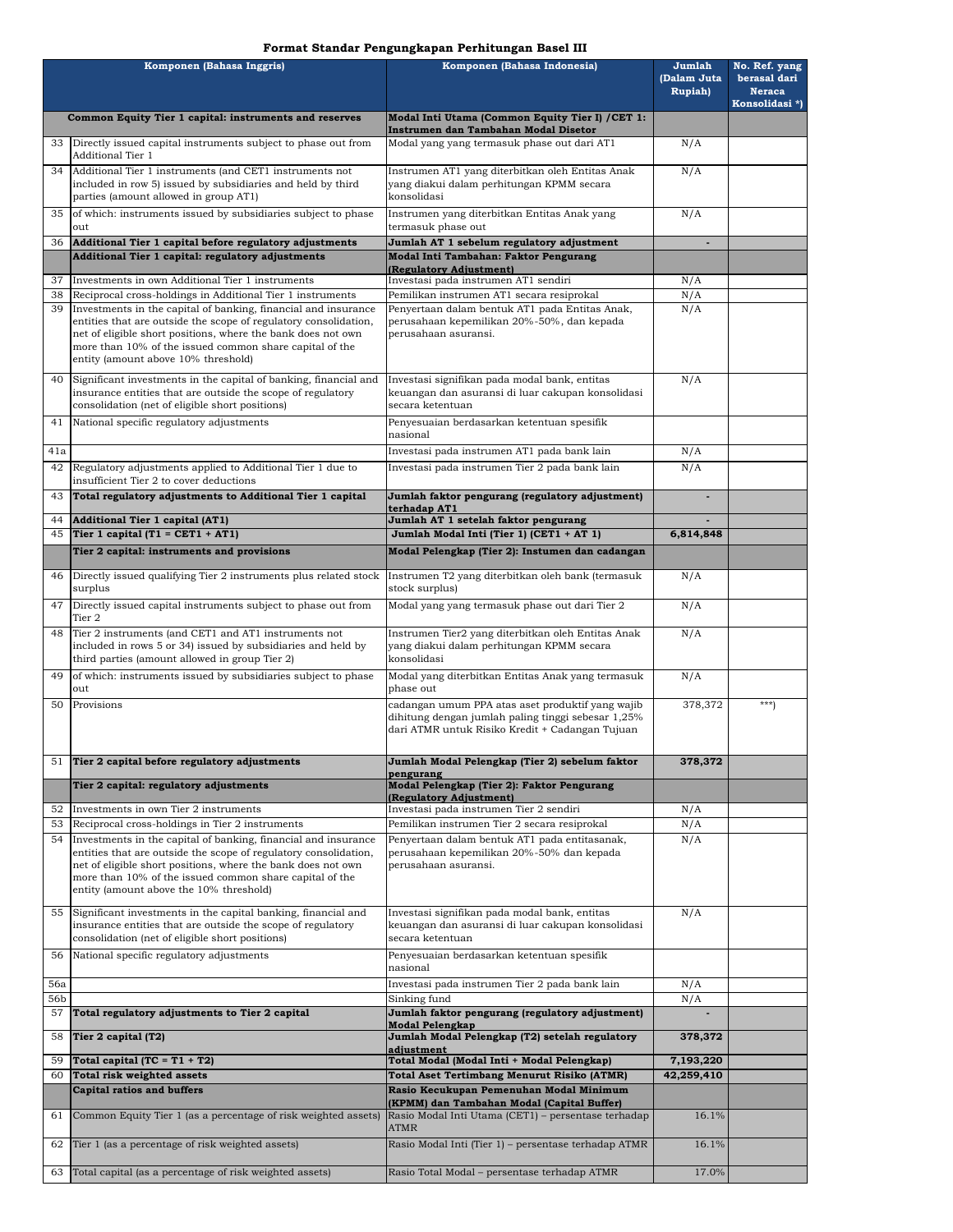### **Format Standar Pengungkapan Perhitungan Basel III**

| Komponen (Bahasa Inggris) |                                                                                                                                                                                                                                                                                                          | Komponen (Bahasa Indonesia)                                                                                                                               | Jumlah<br>(Dalam Juta<br><b>Rupiah</b> ) | No. Ref. yang<br>berasal dari<br><b>Neraca</b><br>Konsolidasi *) |
|---------------------------|----------------------------------------------------------------------------------------------------------------------------------------------------------------------------------------------------------------------------------------------------------------------------------------------------------|-----------------------------------------------------------------------------------------------------------------------------------------------------------|------------------------------------------|------------------------------------------------------------------|
|                           | Common Equity Tier 1 capital: instruments and reserves                                                                                                                                                                                                                                                   | Modal Inti Utama (Common Equity Tier I) / CET 1:                                                                                                          |                                          |                                                                  |
|                           | 33 Directly issued capital instruments subject to phase out from                                                                                                                                                                                                                                         | Instrumen dan Tambahan Modal Disetor<br>Modal yang yang termasuk phase out dari AT1                                                                       | N/A                                      |                                                                  |
|                           | Additional Tier 1                                                                                                                                                                                                                                                                                        |                                                                                                                                                           |                                          |                                                                  |
| 34                        | Additional Tier 1 instruments (and CET1 instruments not<br>included in row 5) issued by subsidiaries and held by third<br>parties (amount allowed in group AT1)                                                                                                                                          | Instrumen AT1 yang diterbitkan oleh Entitas Anak<br>yang diakui dalam perhitungan KPMM secara<br>konsolidasi                                              | N/A                                      |                                                                  |
| 35                        | of which: instruments issued by subsidiaries subject to phase<br>out                                                                                                                                                                                                                                     | Instrumen yang diterbitkan Entitas Anak yang<br>termasuk phase out                                                                                        | N/A                                      |                                                                  |
| 36                        | Additional Tier 1 capital before regulatory adjustments<br>Additional Tier 1 capital: regulatory adjustments                                                                                                                                                                                             | Jumlah AT 1 sebelum regulatory adjustment<br>Modal Inti Tambahan: Faktor Pengurang                                                                        | $\overline{a}$                           |                                                                  |
|                           |                                                                                                                                                                                                                                                                                                          | (Regulatory Adiustment)                                                                                                                                   |                                          |                                                                  |
| 37<br>38                  | Investments in own Additional Tier 1 instruments<br>Reciprocal cross-holdings in Additional Tier 1 instruments                                                                                                                                                                                           | Investasi pada instrumen AT1 sendiri<br>Pemilikan instrumen AT1 secara resiprokal                                                                         | N/A<br>N/A                               |                                                                  |
| 39                        | Investments in the capital of banking, financial and insurance<br>entities that are outside the scope of regulatory consolidation,<br>net of eligible short positions, where the bank does not own<br>more than 10% of the issued common share capital of the<br>entity (amount above 10% threshold)     | Penyertaan dalam bentuk AT1 pada Entitas Anak,<br>perusahaan kepemilikan 20%-50%, dan kepada<br>perusahaan asuransi.                                      | N/A                                      |                                                                  |
| 40                        | Significant investments in the capital of banking, financial and<br>insurance entities that are outside the scope of regulatory<br>consolidation (net of eligible short positions)                                                                                                                       | Investasi signifikan pada modal bank, entitas<br>keuangan dan asuransi di luar cakupan konsolidasi<br>secara ketentuan                                    | N/A                                      |                                                                  |
| 41                        | National specific regulatory adjustments                                                                                                                                                                                                                                                                 | Penyesuaian berdasarkan ketentuan spesifik<br>nasional                                                                                                    |                                          |                                                                  |
| 41a                       |                                                                                                                                                                                                                                                                                                          | Investasi pada instrumen AT1 pada bank lain                                                                                                               | N/A                                      |                                                                  |
| 42                        | Regulatory adjustments applied to Additional Tier 1 due to<br>insufficient Tier 2 to cover deductions                                                                                                                                                                                                    | Investasi pada instrumen Tier 2 pada bank lain                                                                                                            | N/A                                      |                                                                  |
| 43                        | Total regulatory adjustments to Additional Tier 1 capital                                                                                                                                                                                                                                                | Jumlah faktor pengurang (regulatory adjustment)<br>terhadap AT1                                                                                           | $\blacksquare$                           |                                                                  |
| 44                        | Additional Tier 1 capital (AT1)                                                                                                                                                                                                                                                                          | Jumlah AT 1 setelah faktor pengurang                                                                                                                      |                                          |                                                                  |
| 45                        | Tier 1 capital (T1 = CET1 + AT1)                                                                                                                                                                                                                                                                         | Jumlah Modal Inti (Tier 1) (CET1 + AT 1)                                                                                                                  | 6,814,848                                |                                                                  |
|                           | Tier 2 capital: instruments and provisions                                                                                                                                                                                                                                                               | Modal Pelengkap (Tier 2): Instumen dan cadangan                                                                                                           |                                          |                                                                  |
| 46                        | Directly issued qualifying Tier 2 instruments plus related stock<br>surplus                                                                                                                                                                                                                              | Instrumen T2 yang diterbitkan oleh bank (termasuk<br>stock surplus)                                                                                       | N/A                                      |                                                                  |
| 47                        | Directly issued capital instruments subject to phase out from<br>Tier 2                                                                                                                                                                                                                                  | Modal yang yang termasuk phase out dari Tier 2                                                                                                            | N/A                                      |                                                                  |
| 48                        | Tier 2 instruments (and CET1 and AT1 instruments not<br>included in rows 5 or 34) issued by subsidiaries and held by<br>third parties (amount allowed in group Tier 2)                                                                                                                                   | Instrumen Tier2 yang diterbitkan oleh Entitas Anak<br>yang diakui dalam perhitungan KPMM secara<br>konsolidasi                                            | N/A                                      |                                                                  |
| 49                        | of which: instruments issued by subsidiaries subject to phase<br>out                                                                                                                                                                                                                                     | Modal yang diterbitkan Entitas Anak yang termasuk<br>phase out                                                                                            | N/A                                      |                                                                  |
| 50                        | Provisions                                                                                                                                                                                                                                                                                               | cadangan umum PPA atas aset produktif yang wajib<br>dihitung dengan jumlah paling tinggi sebesar 1,25%<br>dari ATMR untuk Risiko Kredit + Cadangan Tujuan | 378,372                                  | $***$                                                            |
|                           | 51 Tier 2 capital before regulatory adjustments                                                                                                                                                                                                                                                          | Jumlah Modal Pelengkap (Tier 2) sebelum faktor<br>pengurang                                                                                               | 378,372                                  |                                                                  |
|                           | Tier 2 capital: regulatory adjustments                                                                                                                                                                                                                                                                   | Modal Pelengkap (Tier 2): Faktor Pengurang<br>(Regulatory Adjustment)                                                                                     |                                          |                                                                  |
| 52<br>53                  | Investments in own Tier 2 instruments<br>Reciprocal cross-holdings in Tier 2 instruments                                                                                                                                                                                                                 | Investasi pada instrumen Tier 2 sendiri<br>Pemilikan instrumen Tier 2 secara resiprokal                                                                   | N/A<br>N/A                               |                                                                  |
| 54                        | Investments in the capital of banking, financial and insurance<br>entities that are outside the scope of regulatory consolidation,<br>net of eligible short positions, where the bank does not own<br>more than 10% of the issued common share capital of the<br>entity (amount above the 10% threshold) | Penyertaan dalam bentuk AT1 pada entitasanak,<br>perusahaan kepemilikan 20%-50% dan kepada<br>perusahaan asuransi.                                        | N/A                                      |                                                                  |
| 55                        | Significant investments in the capital banking, financial and<br>insurance entities that are outside the scope of regulatory<br>consolidation (net of eligible short positions)                                                                                                                          | Investasi signifikan pada modal bank, entitas<br>keuangan dan asuransi di luar cakupan konsolidasi<br>secara ketentuan                                    | N/A                                      |                                                                  |
| 56                        | National specific regulatory adjustments                                                                                                                                                                                                                                                                 | Penyesuaian berdasarkan ketentuan spesifik<br>nasional                                                                                                    |                                          |                                                                  |
| 56a                       |                                                                                                                                                                                                                                                                                                          | Investasi pada instrumen Tier 2 pada bank lain                                                                                                            | N/A                                      |                                                                  |
| 56b<br>57                 | Total regulatory adjustments to Tier 2 capital                                                                                                                                                                                                                                                           | Sinking fund<br>Jumlah faktor pengurang (regulatory adjustment)                                                                                           | N/A                                      |                                                                  |
| 58                        | Tier 2 capital (T2)                                                                                                                                                                                                                                                                                      | <b>Modal Pelengkap</b><br>Jumlah Modal Pelengkap (T2) setelah regulatory                                                                                  | 378,372                                  |                                                                  |
| 59                        | Total capital $(TC = T1 + T2)$                                                                                                                                                                                                                                                                           | adjustment<br>Total Modal (Modal Inti + Modal Pelengkap)                                                                                                  | 7,193,220                                |                                                                  |
| 60                        | Total risk weighted assets                                                                                                                                                                                                                                                                               | <b>Total Aset Tertimbang Menurut Risiko (ATMR)</b>                                                                                                        | 42,259,410                               |                                                                  |
|                           | <b>Capital ratios and buffers</b>                                                                                                                                                                                                                                                                        | Rasio Kecukupan Pemenuhan Modal Minimum<br>(KPMM) dan Tambahan Modal (Capital Buffer)                                                                     |                                          |                                                                  |
| 61<br>62                  | Common Equity Tier 1 (as a percentage of risk weighted assets)<br>Tier 1 (as a percentage of risk weighted assets)                                                                                                                                                                                       | Rasio Modal Inti Utama (CET1) - persentase terhadap<br><b>ATMR</b><br>Rasio Modal Inti (Tier 1) - persentase terhadap ATMR                                | 16.1%<br>16.1%                           |                                                                  |
|                           |                                                                                                                                                                                                                                                                                                          |                                                                                                                                                           |                                          |                                                                  |
| 63                        | Total capital (as a percentage of risk weighted assets)                                                                                                                                                                                                                                                  | Rasio Total Modal - persentase terhadap ATMR                                                                                                              | 17.0%                                    |                                                                  |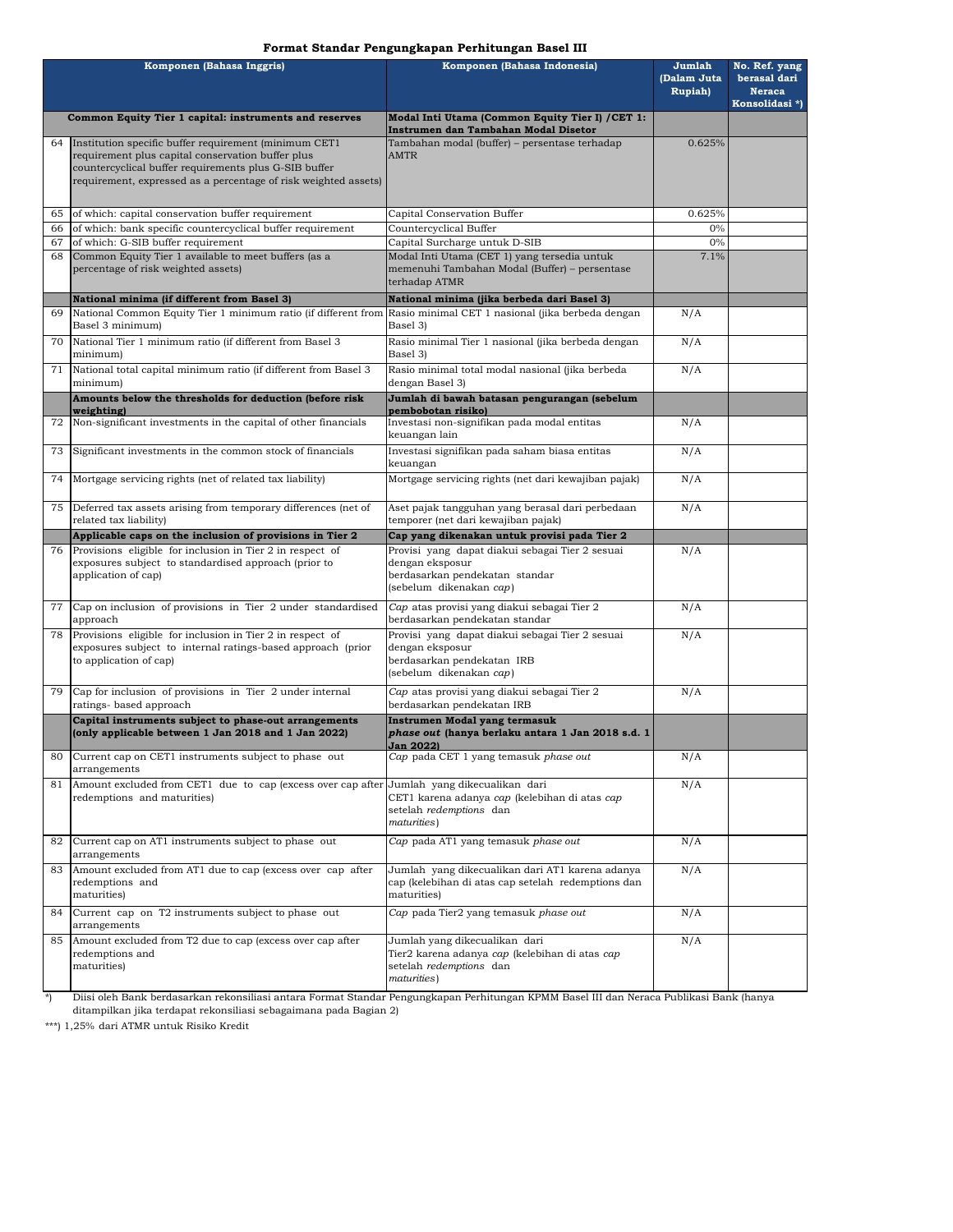### **Format Standar Pengungkapan Perhitungan Basel III**

| Komponen (Bahasa Inggris) |                                                                                                                                          | Komponen (Bahasa Indonesia)                                                                          | Jumlah                 | No. Ref. yang                                   |
|---------------------------|------------------------------------------------------------------------------------------------------------------------------------------|------------------------------------------------------------------------------------------------------|------------------------|-------------------------------------------------|
|                           |                                                                                                                                          |                                                                                                      | (Dalam Juta<br>Rupiah) | berasal dari<br><b>Neraca</b><br>Konsolidasi *) |
|                           | Common Equity Tier 1 capital: instruments and reserves                                                                                   | Modal Inti Utama (Common Equity Tier I) / CET 1:<br>Instrumen dan Tambahan Modal Disetor             |                        |                                                 |
| 64                        | Institution specific buffer requirement (minimum CET1<br>requirement plus capital conservation buffer plus                               | Tambahan modal (buffer) - persentase terhadap<br><b>AMTR</b>                                         | 0.625%                 |                                                 |
|                           | countercyclical buffer requirements plus G-SIB buffer                                                                                    |                                                                                                      |                        |                                                 |
|                           | requirement, expressed as a percentage of risk weighted assets)                                                                          |                                                                                                      |                        |                                                 |
|                           |                                                                                                                                          |                                                                                                      |                        |                                                 |
| 65                        | of which: capital conservation buffer requirement                                                                                        | Capital Conservation Buffer<br>Countercyclical Buffer                                                | 0.625%                 |                                                 |
| 66<br>67                  | of which: bank specific countercyclical buffer requirement<br>of which: G-SIB buffer requirement                                         | Capital Surcharge untuk D-SIB                                                                        | 0%<br>0%               |                                                 |
| 68                        | Common Equity Tier 1 available to meet buffers (as a                                                                                     | Modal Inti Utama (CET 1) yang tersedia untuk                                                         | 7.1%                   |                                                 |
|                           | percentage of risk weighted assets)                                                                                                      | memenuhi Tambahan Modal (Buffer) - persentase<br>terhadap ATMR                                       |                        |                                                 |
|                           | National minima (if different from Basel 3)                                                                                              | National minima (jika berbeda dari Basel 3)                                                          |                        |                                                 |
| 69                        | National Common Equity Tier 1 minimum ratio (if different from<br>Basel 3 minimum)                                                       | Rasio minimal CET 1 nasional (jika berbeda dengan<br>Basel 3)                                        | N/A                    |                                                 |
| 70                        | National Tier 1 minimum ratio (if different from Basel 3<br>minimum)                                                                     | Rasio minimal Tier 1 nasional (jika berbeda dengan<br>Basel 3)                                       | N/A                    |                                                 |
| 71                        | National total capital minimum ratio (if different from Basel 3<br>minimum)                                                              | Rasio minimal total modal nasional (jika berbeda<br>dengan Basel 3)                                  | N/A                    |                                                 |
|                           | Amounts below the thresholds for deduction (before risk<br>weighting)                                                                    | Jumlah di bawah batasan pengurangan (sebelum<br>pembobotan risikol                                   |                        |                                                 |
| 72                        | Non-significant investments in the capital of other financials                                                                           | Investasi non-signifikan pada modal entitas<br>keuangan lain                                         | N/A                    |                                                 |
| 73                        | Significant investments in the common stock of financials                                                                                | Investasi signifikan pada saham biasa entitas<br>keuangan                                            | N/A                    |                                                 |
| 74                        | Mortgage servicing rights (net of related tax liability)                                                                                 | Mortgage servicing rights (net dari kewajiban pajak)                                                 | N/A                    |                                                 |
|                           | 75 Deferred tax assets arising from temporary differences (net of<br>related tax liability)                                              | Aset pajak tangguhan yang berasal dari perbedaan<br>temporer (net dari kewajiban pajak)              | N/A                    |                                                 |
|                           | Applicable caps on the inclusion of provisions in Tier 2                                                                                 | Cap yang dikenakan untuk provisi pada Tier 2                                                         |                        |                                                 |
| 76                        | Provisions eligible for inclusion in Tier 2 in respect of<br>exposures subject to standardised approach (prior to<br>application of cap) | Provisi yang dapat diakui sebagai Tier 2 sesuai<br>dengan eksposur<br>berdasarkan pendekatan standar | N/A                    |                                                 |
|                           |                                                                                                                                          | (sebelum dikenakan cap)                                                                              |                        |                                                 |
| 77                        | Cap on inclusion of provisions in Tier 2 under standardised<br>approach                                                                  | Cap atas provisi yang diakui sebagai Tier 2<br>berdasarkan pendekatan standar                        | N/A                    |                                                 |
| 78                        | Provisions eligible for inclusion in Tier 2 in respect of                                                                                | Provisi yang dapat diakui sebagai Tier 2 sesuai                                                      | N/A                    |                                                 |
|                           | exposures subject to internal ratings-based approach (prior<br>to application of cap)                                                    | dengan eksposur<br>berdasarkan pendekatan IRB                                                        |                        |                                                 |
|                           |                                                                                                                                          | (sebelum dikenakan cap)                                                                              |                        |                                                 |
| 79                        | Cap for inclusion of provisions in Tier 2 under internal<br>ratings- based approach                                                      | Cap atas provisi yang diakui sebagai Tier 2<br>berdasarkan pendekatan IRB                            | N/A                    |                                                 |
|                           | Capital instruments subject to phase-out arrangements                                                                                    | <b>Instrumen Modal yang termasuk</b>                                                                 |                        |                                                 |
|                           | (only applicable between 1 Jan 2018 and 1 Jan 2022)                                                                                      | phase out (hanya berlaku antara 1 Jan 2018 s.d. 1<br><b>Jan 2022)</b>                                |                        |                                                 |
|                           | Current cap on CET1 instruments subject to phase out<br>arrangements                                                                     | Cap pada CET 1 yang temasuk <i>phase out</i>                                                         | N/A                    |                                                 |
| 81                        | Amount excluded from CET1 due to cap (excess over cap after Jumlah yang dikecualikan dari                                                |                                                                                                      | N/A                    |                                                 |
|                           | redemptions and maturities)                                                                                                              | CET1 karena adanya cap (kelebihan di atas cap<br>setelah redemptions dan<br>maturities)              |                        |                                                 |
| 82                        | Current cap on AT1 instruments subject to phase out<br>arrangements                                                                      | Cap pada AT1 yang temasuk phase out                                                                  | N/A                    |                                                 |
| 83                        | Amount excluded from AT1 due to cap (excess over cap after                                                                               | Jumlah yang dikecualikan dari AT1 karena adanya                                                      | N/A                    |                                                 |
|                           | redemptions and<br>maturities)                                                                                                           | cap (kelebihan di atas cap setelah redemptions dan<br>maturities)                                    |                        |                                                 |
| 84                        | Current cap on T2 instruments subject to phase out<br>arrangements                                                                       | Cap pada Tier2 yang temasuk phase out                                                                | N/A                    |                                                 |
| 85                        | Amount excluded from T2 due to cap (excess over cap after<br>redemptions and                                                             | Jumlah yang dikecualikan dari<br>Tier2 karena adanya cap (kelebihan di atas cap                      | N/A                    |                                                 |
|                           | maturities)                                                                                                                              | setelah redemptions dan                                                                              |                        |                                                 |
|                           |                                                                                                                                          | maturities)                                                                                          |                        |                                                 |

\*) Diisi oleh Bank berdasarkan rekonsiliasi antara Format Standar Pengungkapan Perhitungan KPMM Basel III dan Neraca Publikasi Bank (hanya ditampilkan jika terdapat rekonsiliasi sebagaimana pada Bagian 2)

\*\*\*) 1,25% dari ATMR untuk Risiko Kredit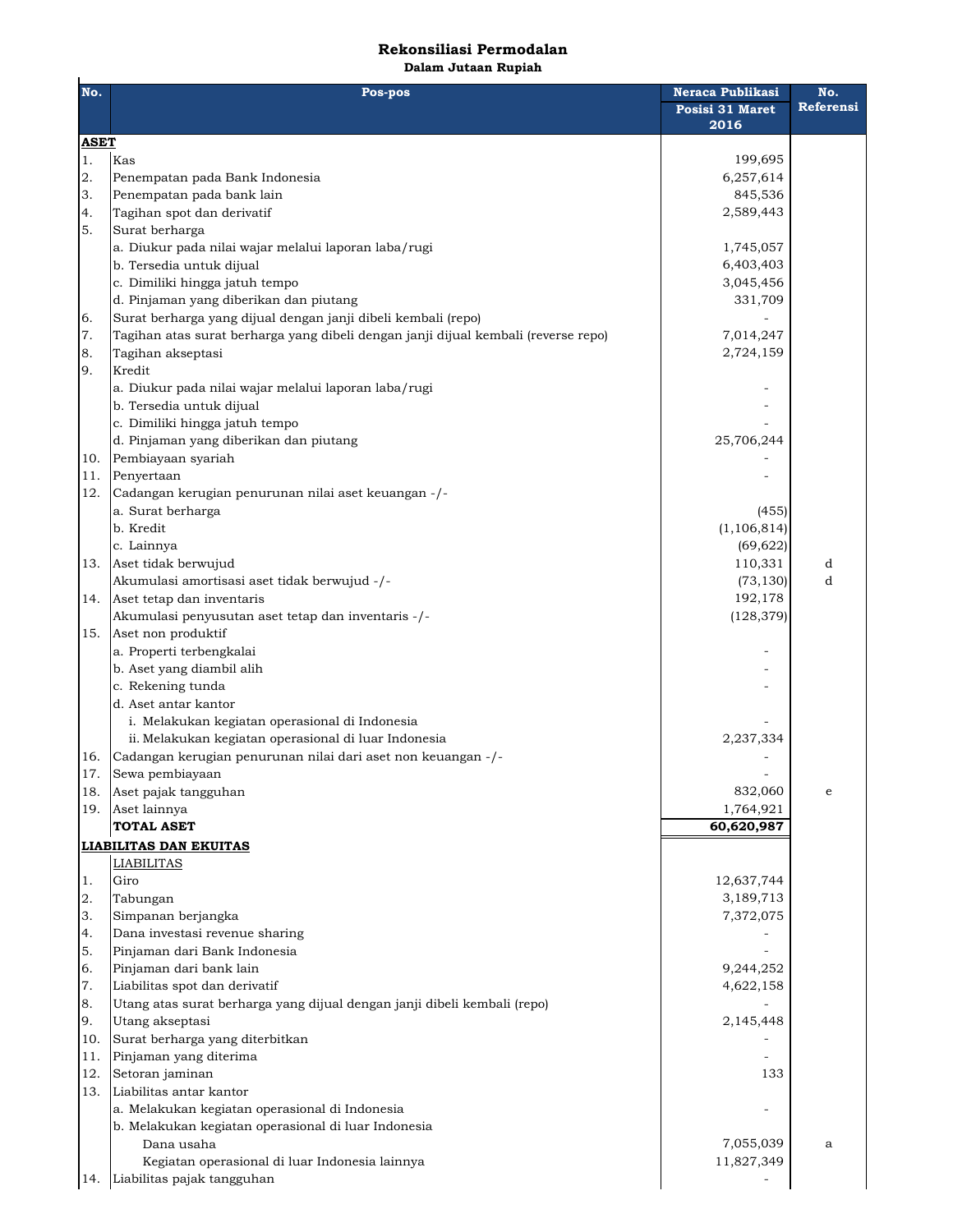# **Rekonsiliasi Permodalan**

**Dalam Jutaan Rupiah**

| No.         | Pos-pos                                                                            | Neraca Publikasi<br>Posisi 31 Maret<br>2016 | No.<br>Referensi |
|-------------|------------------------------------------------------------------------------------|---------------------------------------------|------------------|
| <b>ASET</b> |                                                                                    |                                             |                  |
| 1.          | Kas                                                                                | 199,695                                     |                  |
| 2.          | Penempatan pada Bank Indonesia                                                     | 6,257,614                                   |                  |
| 3.          | Penempatan pada bank lain                                                          | 845,536                                     |                  |
| 4.          | Tagihan spot dan derivatif                                                         | 2,589,443                                   |                  |
| 5.          | Surat berharga                                                                     |                                             |                  |
|             | a. Diukur pada nilai wajar melalui laporan laba/rugi                               | 1,745,057                                   |                  |
|             | b. Tersedia untuk dijual                                                           | 6,403,403                                   |                  |
|             | c. Dimiliki hingga jatuh tempo                                                     | 3,045,456                                   |                  |
|             | d. Pinjaman yang diberikan dan piutang                                             | 331,709                                     |                  |
| 6.          | Surat berharga yang dijual dengan janji dibeli kembali (repo)                      |                                             |                  |
| 7.          | Tagihan atas surat berharga yang dibeli dengan janji dijual kembali (reverse repo) | 7,014,247                                   |                  |
| 8.          | Tagihan akseptasi                                                                  | 2,724,159                                   |                  |
| 9.          | Kredit                                                                             |                                             |                  |
|             |                                                                                    |                                             |                  |
|             | a. Diukur pada nilai wajar melalui laporan laba/rugi<br>b. Tersedia untuk dijual   |                                             |                  |
|             | c. Dimiliki hingga jatuh tempo                                                     |                                             |                  |
|             | d. Pinjaman yang diberikan dan piutang                                             | 25,706,244                                  |                  |
|             | Pembiayaan syariah                                                                 |                                             |                  |
| 10.         |                                                                                    |                                             |                  |
| 11.         | Penyertaan                                                                         |                                             |                  |
| 12.         | Cadangan kerugian penurunan nilai aset keuangan -/-                                |                                             |                  |
|             | a. Surat berharga                                                                  | (455)                                       |                  |
|             | b. Kredit                                                                          | (1, 106, 814)                               |                  |
|             | c. Lainnya                                                                         | (69, 622)                                   |                  |
| 13.         | Aset tidak berwujud                                                                | 110,331                                     | d                |
|             | Akumulasi amortisasi aset tidak berwujud -/-                                       | (73, 130)                                   | d                |
| 14.         | Aset tetap dan inventaris                                                          | 192,178                                     |                  |
|             | Akumulasi penyusutan aset tetap dan inventaris -/-                                 | (128, 379)                                  |                  |
| 15.         | Aset non produktif                                                                 |                                             |                  |
|             | a. Properti terbengkalai                                                           |                                             |                  |
|             | b. Aset yang diambil alih                                                          |                                             |                  |
|             | c. Rekening tunda                                                                  |                                             |                  |
|             | d. Aset antar kantor                                                               |                                             |                  |
|             | i. Melakukan kegiatan operasional di Indonesia                                     |                                             |                  |
|             | ii. Melakukan kegiatan operasional di luar Indonesia                               | 2,237,334                                   |                  |
| 16.         | Cadangan kerugian penurunan nilai dari aset non keuangan -/-                       |                                             |                  |
| 17.         | Sewa pembiayaan                                                                    |                                             |                  |
| 18.         | Aset pajak tangguhan                                                               | 832,060                                     | $\mathbf e$      |
|             | 19. Aset lainnya                                                                   | 1,764,921                                   |                  |
|             | <b>TOTAL ASET</b>                                                                  | 60,620,987                                  |                  |
|             | <b>LIABILITAS DAN EKUITAS</b>                                                      |                                             |                  |
|             | <b>LIABILITAS</b>                                                                  |                                             |                  |
| 1.          | Giro                                                                               | 12,637,744                                  |                  |
| 2.          | Tabungan                                                                           | 3,189,713                                   |                  |
| 3.          | Simpanan berjangka                                                                 | 7,372,075                                   |                  |
| 4.          | Dana investasi revenue sharing                                                     |                                             |                  |
| 5.          | Pinjaman dari Bank Indonesia                                                       |                                             |                  |
| 6.          | Pinjaman dari bank lain                                                            | 9,244,252                                   |                  |
| 7.          | Liabilitas spot dan derivatif                                                      | 4,622,158                                   |                  |
| 8.          | Utang atas surat berharga yang dijual dengan janji dibeli kembali (repo)           |                                             |                  |
| 9.          | Utang akseptasi                                                                    | 2,145,448                                   |                  |
| 10.         | Surat berharga yang diterbitkan                                                    |                                             |                  |
| 11.         | Pinjaman yang diterima                                                             |                                             |                  |
| 12.         | Setoran jaminan                                                                    | 133                                         |                  |
| 13.         | Liabilitas antar kantor                                                            |                                             |                  |
|             | a. Melakukan kegiatan operasional di Indonesia                                     |                                             |                  |
|             | b. Melakukan kegiatan operasional di luar Indonesia                                |                                             |                  |
|             | Dana usaha                                                                         | 7,055,039                                   | a                |
|             | Kegiatan operasional di luar Indonesia lainnya                                     | 11,827,349                                  |                  |
|             | 14. Liabilitas pajak tangguhan                                                     |                                             |                  |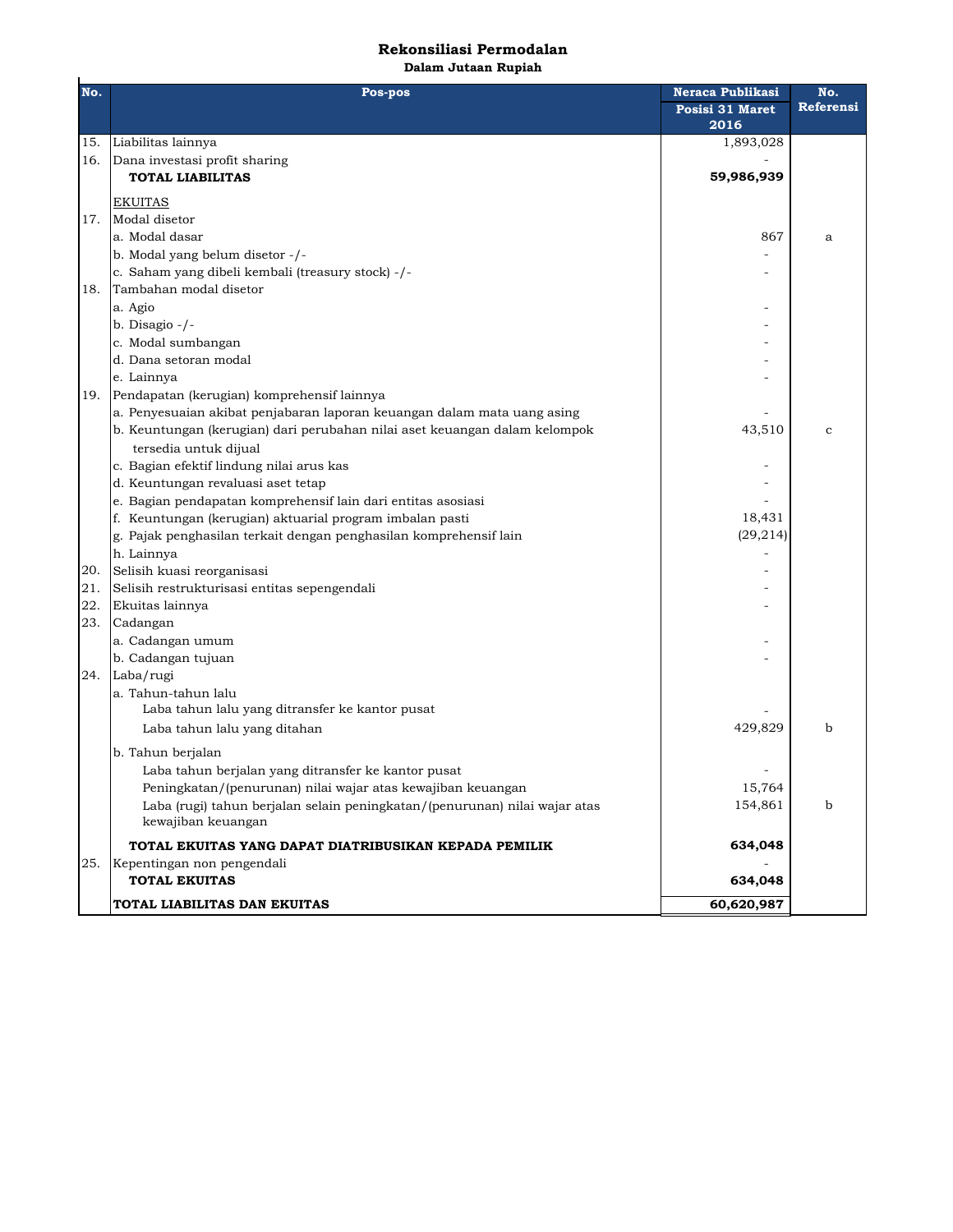## **Rekonsiliasi Permodalan**

**Dalam Jutaan Rupiah**

| No. | unum vucuun napnum<br>Pos-pos<br>Neraca Publikasi<br>No.                                         |                 |              |  |
|-----|--------------------------------------------------------------------------------------------------|-----------------|--------------|--|
|     |                                                                                                  | Posisi 31 Maret | Referensi    |  |
|     |                                                                                                  | 2016            |              |  |
| 15. | Liabilitas lainnya                                                                               | 1,893,028       |              |  |
| 16. | Dana investasi profit sharing                                                                    |                 |              |  |
|     | <b>TOTAL LIABILITAS</b>                                                                          | 59,986,939      |              |  |
|     | <b>EKUITAS</b>                                                                                   |                 |              |  |
| 17. | Modal disetor                                                                                    |                 |              |  |
|     | a. Modal dasar                                                                                   | 867             | a            |  |
|     | b. Modal yang belum disetor -/-                                                                  |                 |              |  |
|     | c. Saham yang dibeli kembali (treasury stock) -/-                                                |                 |              |  |
| 18. | Tambahan modal disetor                                                                           |                 |              |  |
|     | a. Agio                                                                                          |                 |              |  |
|     | b. Disagio -/-                                                                                   |                 |              |  |
|     | c. Modal sumbangan                                                                               |                 |              |  |
|     | d. Dana setoran modal                                                                            |                 |              |  |
|     | e. Lainnya                                                                                       |                 |              |  |
| 19. | Pendapatan (kerugian) komprehensif lainnya                                                       |                 |              |  |
|     | a. Penyesuaian akibat penjabaran laporan keuangan dalam mata uang asing                          |                 |              |  |
|     | b. Keuntungan (kerugian) dari perubahan nilai aset keuangan dalam kelompok                       | 43,510          | $\mathbf{C}$ |  |
|     | tersedia untuk dijual                                                                            |                 |              |  |
|     | c. Bagian efektif lindung nilai arus kas                                                         |                 |              |  |
|     | d. Keuntungan revaluasi aset tetap                                                               |                 |              |  |
|     | e. Bagian pendapatan komprehensif lain dari entitas asosiasi                                     |                 |              |  |
|     | f. Keuntungan (kerugian) aktuarial program imbalan pasti                                         | 18,431          |              |  |
|     | g. Pajak penghasilan terkait dengan penghasilan komprehensif lain                                | (29, 214)       |              |  |
|     | h. Lainnya                                                                                       |                 |              |  |
| 20. | Selisih kuasi reorganisasi                                                                       |                 |              |  |
| 21. | Selisih restrukturisasi entitas sepengendali                                                     |                 |              |  |
| 22. | Ekuitas lainnya                                                                                  |                 |              |  |
| 23. | Cadangan                                                                                         |                 |              |  |
|     | a. Cadangan umum                                                                                 |                 |              |  |
|     | b. Cadangan tujuan                                                                               |                 |              |  |
|     | 24. Laba/rugi                                                                                    |                 |              |  |
|     | a. Tahun-tahun lalu                                                                              |                 |              |  |
|     | Laba tahun lalu yang ditransfer ke kantor pusat                                                  |                 |              |  |
|     | Laba tahun lalu yang ditahan                                                                     | 429,829         | b            |  |
|     | b. Tahun berjalan                                                                                |                 |              |  |
|     | Laba tahun berjalan yang ditransfer ke kantor pusat                                              |                 |              |  |
|     | Peningkatan/(penurunan) nilai wajar atas kewajiban keuangan                                      | 15,764          |              |  |
|     | Laba (rugi) tahun berjalan selain peningkatan/(penurunan) nilai wajar atas<br>kewajiban keuangan | 154,861         | b            |  |
|     | TOTAL EKUITAS YANG DAPAT DIATRIBUSIKAN KEPADA PEMILIK                                            | 634,048         |              |  |
| 25. | Kepentingan non pengendali                                                                       |                 |              |  |
|     | <b>TOTAL EKUITAS</b>                                                                             | 634,048         |              |  |
|     | TOTAL LIABILITAS DAN EKUITAS                                                                     | 60,620,987      |              |  |